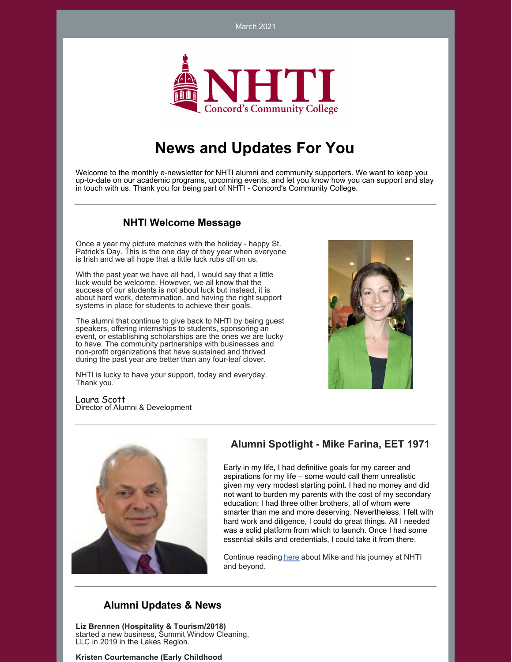March 2021



# **News and Updates For You**

Welcome to the monthly e-newsletter for NHTI alumni and community supporters. We want to keep you up-to-date on our academic programs, upcoming events, and let you know how you can support and stay in touch with us. Thank you for being part of NHTI - Concord's Community College.

#### **NHTI Welcome Message**

Once a year my picture matches with the holiday - happy St. Patrick's Day. This is the one day of they year when everyone is Irish and we all hope that a little luck rubs off on us.

With the past year we have all had, I would say that a little luck would be welcome. However, we all know that the success of our students is not about luck but instead, it is about hard work, determination, and having the right support systems in place for students to achieve their goals.

The alumni that continue to give back to NHTI by being guest speakers, offering internships to students, sponsoring an event, or establishing scholarships are the ones we are lucky to have. The community partnerships with businesses and non-profit organizations that have sustained and thrived during the past year are better than any four-leaf clover.

NHTI is lucky to have your support, today and everyday. Thank you.



Laura Scott Director of Alumni & Development



# **Alumni Spotlight - Mike Farina, EET 1971**

Early in my life, I had definitive goals for my career and aspirations for my life – some would call them unrealistic given my very modest starting point. I had no money and did not want to burden my parents with the cost of my secondary education; I had three other brothers, all of whom were smarter than me and more deserving. Nevertheless, I felt with hard work and diligence, I could do great things. All I needed was a solid platform from which to launch. Once I had some essential skills and credentials, I could take it from there.

Continue reading [here](https://www.nhti.edu/alumni-spotlight-mike-farina/) about Mike and his journey at NHTI and beyond.

### **Alumni Updates & News**

**Liz Brennen (Hospitality & Tourism/2018)** started a new business, Summit Window Cleaning, LLC in 2019 in the Lakes Region.

**Kristen Courtemanche (Early Childhood**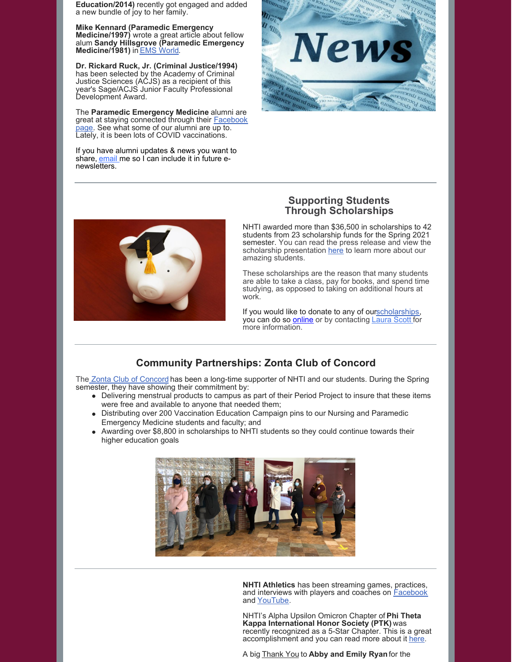**Education/2014)** recently got engaged and added a new bundle of joy to her family.

**Mike Kennard (Paramedic Emergency Medicine/1997)** wrote a great article about fellow alum **Sandy Hillsgrove (Paramedic Emergency Medicine/1981)** in EMS [World](https://www.emsworld.com/article/1225587/career-firsts-meet-new-hampshire-paramedic-sandy-hillsgrove).

**Dr. Rickard Ruck, Jr. (Criminal Justice/1994)** has been selected by the Academy of Criminal Justice Sciences (ACJS) as a recipient of this year's Sage/ACJS Junior Faculty Professional Development Award.

The **Paramedic Emergency Medicine** alumni are great at staying [connected](https://www.facebook.com/NHTIParamedics) through their **Facebook** page. See what some of our alumni are up to. Lately, it is been lots of COVID vaccinations.

If you have alumni updates & news you want to share, [email](mailto:lascott@ccsnh.edu) me so I can include it in future enewsletters.





#### **Supporting Students Through Scholarships**

NHTI awarded more than \$36,500 in scholarships to 42 students from 23 scholarship funds for the Spring 2021 semester. You can read the press release and view the scholarship presentation [here](https://www.nhti.edu/nhti-announces-spring-scholarships/) to learn more about our amazing students.

These scholarships are the reason that many students are able to take a class, pay for books, and spend time studying, as opposed to taking on additional hours at work.

If you would like to donate to any of ou[rscholarships](https://www.nhti.edu/tuition/scholarship-grants/), you can do so **[online](https://givenhcc.org/where-to-give/nhti/)** or by contacting **[Laura](mailto:lascott@ccsnh.edu) Scott** for more information.

# **Community Partnerships: Zonta Club of Concord**

The Zonta Club of [Concord](https://zontaclubofconcordnh.org/) has been a long-time supporter of NHTI and our students. During the Spring semester, they have showing their commitment by:

- Delivering menstrual products to campus as part of their Period Project to insure that these items were free and available to anyone that needed them;
- Distributing over 200 Vaccination Education Campaign pins to our Nursing and Paramedic  $\bullet$ Emergency Medicine students and faculty; and
- Awarding over \$8,800 in scholarships to NHTI students so they could continue towards their higher education goals



**NHTI Athletics** has been streaming games, practices, and interviews with players and coaches on **[Facebook](https://www.facebook.com/nhtiathletics)** and [YouTube](https://www.youtube.com/channel/UCQjZ0UZKP7sNRVjOM_QTPJg).

NHTI's Alpha Upsilon Omicron Chapter of **Phi Theta Kappa International Honor Society (PTK)** was recently recognized as a 5-Star Chapter. This is a great accomplishment and you can read more about it [here](https://www.nhti.edu/nhti-earns-5-star-honor-in-phi-theta-kappa-international-honors-society/).

A big Thank You to **Abby and Emily Ryan**for the